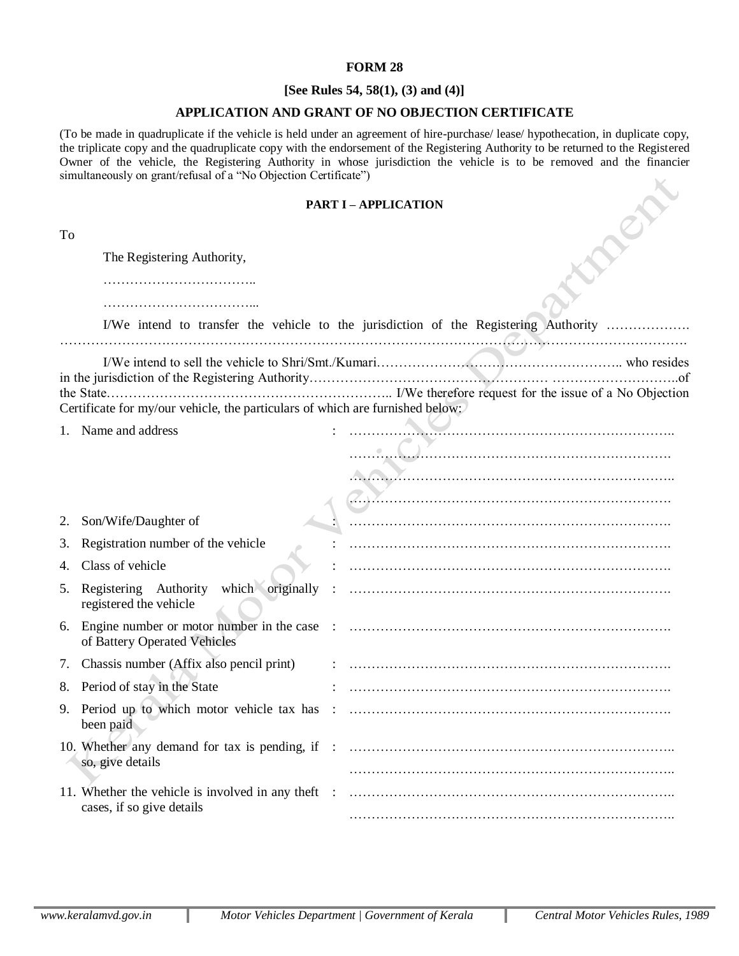## **FORM 28**

## **[See Rules 54, 58(1), (3) and (4)]**

## **APPLICATION AND GRANT OF NO OBJECTION CERTIFICATE**

(To be made in quadruplicate if the vehicle is held under an agreement of hire-purchase/ lease/ hypothecation, in duplicate copy, the triplicate copy and the quadruplicate copy with the endorsement of the Registering Authority to be returned to the Registered Owner of the vehicle, the Registering Authority in whose jurisdiction the vehicle is to be removed and the financier simultaneously on grant/refusal of a "No Objection Certificate")

## **PART I – APPLICATION**

| To |                                                                                 |  |                                                                                      |
|----|---------------------------------------------------------------------------------|--|--------------------------------------------------------------------------------------|
|    | The Registering Authority,                                                      |  |                                                                                      |
|    |                                                                                 |  |                                                                                      |
|    |                                                                                 |  |                                                                                      |
|    |                                                                                 |  | I/We intend to transfer the vehicle to the jurisdiction of the Registering Authority |
|    |                                                                                 |  |                                                                                      |
|    |                                                                                 |  |                                                                                      |
|    | Certificate for my/our vehicle, the particulars of which are furnished below:   |  |                                                                                      |
|    | 1. Name and address                                                             |  |                                                                                      |
|    |                                                                                 |  |                                                                                      |
|    |                                                                                 |  |                                                                                      |
|    |                                                                                 |  |                                                                                      |
| 2. | Son/Wife/Daughter of                                                            |  |                                                                                      |
| 3. | Registration number of the vehicle                                              |  |                                                                                      |
| 4. | Class of vehicle                                                                |  |                                                                                      |
| 5. | Registering Authority which originally :<br>registered the vehicle              |  |                                                                                      |
|    | of Battery Operated Vehicles                                                    |  |                                                                                      |
|    | 7. Chassis number (Affix also pencil print)                                     |  |                                                                                      |
|    | 8. Period of stay in the State                                                  |  |                                                                                      |
|    | 9. Period up to which motor vehicle tax has :<br>been paid                      |  |                                                                                      |
|    | so, give details                                                                |  |                                                                                      |
|    |                                                                                 |  |                                                                                      |
|    | 11. Whether the vehicle is involved in any theft :<br>cases, if so give details |  |                                                                                      |
|    |                                                                                 |  |                                                                                      |